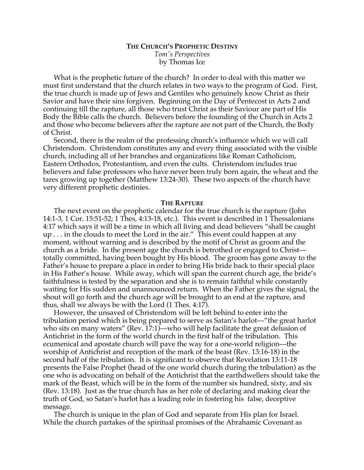# **THE CHURCH'S PROPHETIC DESTINY** *Tom's Perspectives* by Thomas Ice

What is the prophetic future of the church? In order to deal with this matter we must first understand that the church relates in two ways to the program of God. First, the true church is made up of Jews and Gentiles who genuinely know Christ as their Savior and have their sins forgiven. Beginning on the Day of Pentecost in Acts 2 and continuing till the rapture, all those who trust Christ as their Saviour are part of His Body the Bible calls the church. Believers before the founding of the Church in Acts 2 and those who become believers after the rapture are not part of the Church, the Body of Christ.

Second, there is the realm of the professing church's influence which we will call Christendom. Christendom constitutes any and every thing associated with the visible church, including all of her branches and organizations like Roman Catholicism, Eastern Orthodox, Protestantism, and even the cults. Christendom includes true believers and false professors who have never been truly born again, the wheat and the tares growing up together (Matthew 13:24-30). These two aspects of the church have very different prophetic destinies.

#### **THE RAPTURE**

The next event on the prophetic calendar for the true church is the rapture (John 14:1-3, 1 Cor. 15:51-52; 1 Thes, 4:13-18, etc.). This event is described in 1 Thessalonians 4:17 which says it will be a time in which all living and dead believers "shall be caught up . . . in the clouds to meet the Lord in the air." This event could happen at any moment, without warning and is described by the motif of Christ as groom and the church as a bride. In the present age the church is betrothed or engaged to Christ totally committed, having been bought by His blood. The groom has gone away to the Father's house to prepare a place in order to bring His bride back to their special place in His Father's house. While away, which will span the current church age, the bride's faithfulness is tested by the separation and she is to remain faithful while constantly waiting for His sudden and unannounced return. When the Father gives the signal, the shout will go forth and the church age will be brought to an end at the rapture, and thus, shall we always be with the Lord (1 Thes. 4:17).

However, the unsaved of Christendom will be left behind to enter into the tribulation period which is being prepared to serve as Satan's harlot—"the great harlot who sits on many waters" (Rev. 17:1)—who will help facilitate the great delusion of Antichrist in the form of the world church in the first half of the tribulation. This ecumenical and apostate church will pave the way for a one-world religion—the worship of Antichrist and reception of the mark of the beast (Rev. 13:16-18) in the second half of the tribulation. It is significant to observe that Revelation 13:11-18 presents the False Prophet (head of the one world church during the tribulation) as the one who is advocating on behalf of the Antichrist that the earthdwellers should take the mark of the Beast, which will be in the form of the number six hundred, sixty, and six (Rev. 13:18). Just as the true church has as her role of declaring and making clear the truth of God, so Satan's harlot has a leading role in fostering his false, deceptive message.

The church is unique in the plan of God and separate from His plan for Israel. While the church partakes of the spiritual promises of the Abrahamic Covenant as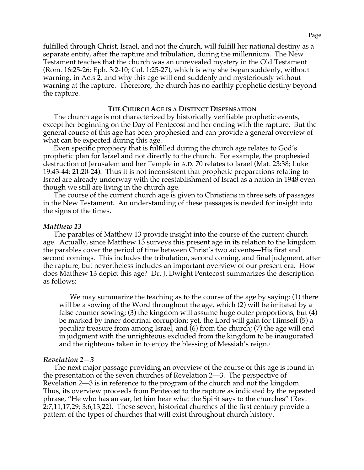fulfilled through Christ, Israel, and not the church, will fulfill her national destiny as a separate entity, after the rapture and tribulation, during the millennium. The New Testament teaches that the church was an unrevealed mystery in the Old Testament (Rom. 16:25-26; Eph. 3:2-10; Col. 1:25-27), which is why she began suddenly, without warning, in Acts 2, and why this age will end suddenly and mysteriously without warning at the rapture. Therefore, the church has no earthly prophetic destiny beyond the rapture.

## **THE CHURCH AGE IS A DISTINCT DISPENSATION**

The church age is not characterized by historically verifiable prophetic events, except her beginning on the Day of Pentecost and her ending with the rapture. But the general course of this age has been prophesied and can provide a general overview of what can be expected during this age.

Even specific prophecy that is fulfilled during the church age relates to God's prophetic plan for Israel and not directly to the church. For example, the prophesied destruction of Jerusalem and her Temple in A.D. 70 relates to Israel (Mat. 23:38; Luke 19:43-44; 21:20-24). Thus it is not inconsistent that prophetic preparations relating to Israel are already underway with the reestablishment of Israel as a nation in 1948 even though we still are living in the church age.

The course of the current church age is given to Christians in three sets of passages in the New Testament. An understanding of these passages is needed for insight into the signs of the times.

### *Matthew 13*

The parables of Matthew 13 provide insight into the course of the current church age. Actually, since Matthew 13 surveys this present age in its relation to the kingdom the parables cover the period of time between Christ's two advents—His first and second comings. This includes the tribulation, second coming, and final judgment, after the rapture, but nevertheless includes an important overview of our present era. How does Matthew 13 depict this age? Dr. J. Dwight Pentecost summarizes the description as follows:

We may summarize the teaching as to the course of the age by saying: (1) there will be a sowing of the Word throughout the age, which (2) will be imitated by a false counter sowing; (3) the kingdom will assume huge outer proportions, but (4) be marked by inner doctrinal corruption; yet, the Lord will gain for Himself (5) a peculiar treasure from among Israel, and (6) from the church; (7) the age will end in judgment with the unrighteous excluded from the kingdom to be inaugurated and the righteous taken in to enjoy the blessing of Messiah's reign.

#### *Revelation 2—3*

The next major passage providing an overview of the course of this age is found in the presentation of the seven churches of Revelation 2—3. The perspective of Revelation 2—3 is in reference to the program of the church and not the kingdom. Thus, its overview proceeds from Pentecost to the rapture as indicated by the repeated phrase, "He who has an ear, let him hear what the Spirit says to the churches" (Rev. 2:7,11,17,29; 3:6,13,22). These seven, historical churches of the first century provide a pattern of the types of churches that will exist throughout church history.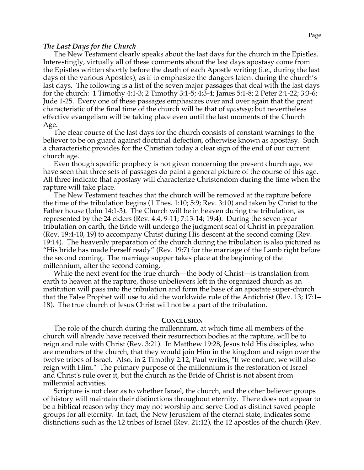#### *The Last Days for the Church*

The New Testament clearly speaks about the last days for the church in the Epistles. Interestingly, virtually all of these comments about the last days apostasy come from the Epistles written shortly before the death of each Apostle writing (i.e., during the last days of the various Apostles), as if to emphasize the dangers latent during the church's last days. The following is a list of the seven major passages that deal with the last days for the church: 1 Timothy 4:1-3; 2 Timothy 3:1-5; 4:3-4; James 5:1-8; 2 Peter 2:1-22; 3:3-6; Jude 1-25. Every one of these passages emphasizes over and over again that the great characteristic of the final time of the church will be that of *apostasy*; but nevertheless effective evangelism will be taking place even until the last moments of the Church Age.

The clear course of the last days for the church consists of constant warnings to the believer to be on guard against doctrinal defection, otherwise known as apostasy. Such a characteristic provides for the Christian today a clear sign of the end of our current church age.

Even though specific prophecy is not given concerning the present church age, we have seen that three sets of passages do paint a general picture of the course of this age. All three indicate that apostasy will characterize Christendom during the time when the rapture will take place.

The New Testament teaches that the church will be removed at the rapture before the time of the tribulation begins (1 Thes. 1:10; 5:9; Rev. 3:10) and taken by Christ to the Father house (John 14:1-3). The Church will be in heaven during the tribulation, as represented by the 24 elders (Rev. 4:4, 9-11; 7:13-14; 19:4). During the seven-year tribulation on earth, the Bride will undergo the judgment seat of Christ in preparation (Rev. 19:4-10, 19) to accompany Christ during His descent at the second coming (Rev. 19:14). The heavenly preparation of the church during the tribulation is also pictured as "His bride has made herself ready" (Rev. 19:7) for the marriage of the Lamb right before the second coming. The marriage supper takes place at the beginning of the millennium, after the second coming.

While the next event for the true church—the body of Christ—is translation from earth to heaven at the rapture, those unbelievers left in the organized church as an institution will pass into the tribulation and form the base of an apostate super-church that the False Prophet will use to aid the worldwide rule of the Antichrist (Rev. 13; 17:1– 18). The true church of Jesus Christ will not be a part of the tribulation.

#### **CONCLUSION**

The role of the church during the millennium, at which time all members of the church will already have received their resurrection bodies at the rapture, will be to reign and rule with Christ (Rev. 3:21). In Matthew 19:28, Jesus told His disciples, who are members of the church, that they would join Him in the kingdom and reign over the twelve tribes of Israel. Also, in 2 Timothy 2:12, Paul writes, "If we endure, we will also reign with Him." The primary purpose of the millennium is the restoration of Israel and Christ's rule over it, but the church as the Bride of Christ is not absent from millennial activities.

Scripture is not clear as to whether Israel, the church, and the other believer groups of history will maintain their distinctions throughout eternity. There does not appear to be a biblical reason why they may not worship and serve God as distinct saved people groups for all eternity. In fact, the New Jerusalem of the eternal state, indicates some distinctions such as the 12 tribes of Israel (Rev. 21:12), the 12 apostles of the church (Rev.